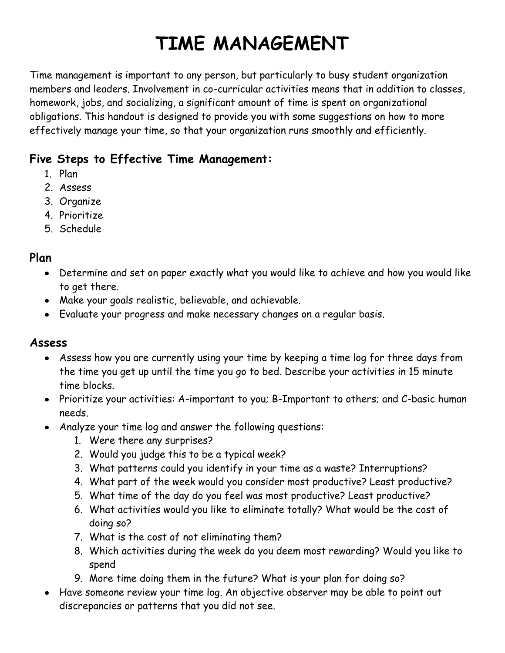# **TIME MANAGEMENT**

Time management is important to any person, but particularly to busy student organization members and leaders. Involvement in co-curricular activities means that in addition to classes, homework, jobs, and socializing, a significant amount of time is spent on organizational obligations. This handout is designed to provide you with some suggestions on how to more effectively manage your time, so that your organization runs smoothly and efficiently.

# **Five Steps to Effective Time Management:**

- 1. Plan
- 2. Assess
- 3. Organize
- 4. Prioritize
- 5. Schedule

## **Plan**

- Determine and set on paper exactly what you would like to achieve and how you would like to get there.
- Make your goals realistic, believable, and achievable.
- Evaluate your progress and make necessary changes on a regular basis.

## **Assess**

- Assess how you are currently using your time by keeping a time log for three days from the time you get up until the time you go to bed. Describe your activities in 15 minute time blocks.
- Prioritize your activities: A-important to you; B-Important to others; and C-basic human needs.
- Analyze your time log and answer the following questions:
	- 1. Were there any surprises?
	- 2. Would you judge this to be a typical week?
	- 3. What patterns could you identify in your time as a waste? Interruptions?
	- 4. What part of the week would you consider most productive? Least productive?
	- 5. What time of the day do you feel was most productive? Least productive?
	- 6. What activities would you like to eliminate totally? What would be the cost of doing so?
	- 7. What is the cost of not eliminating them?
	- 8. Which activities during the week do you deem most rewarding? Would you like to spend
	- 9. More time doing them in the future? What is your plan for doing so?
- Have someone review your time log. An objective observer may be able to point out discrepancies or patterns that you did not see.